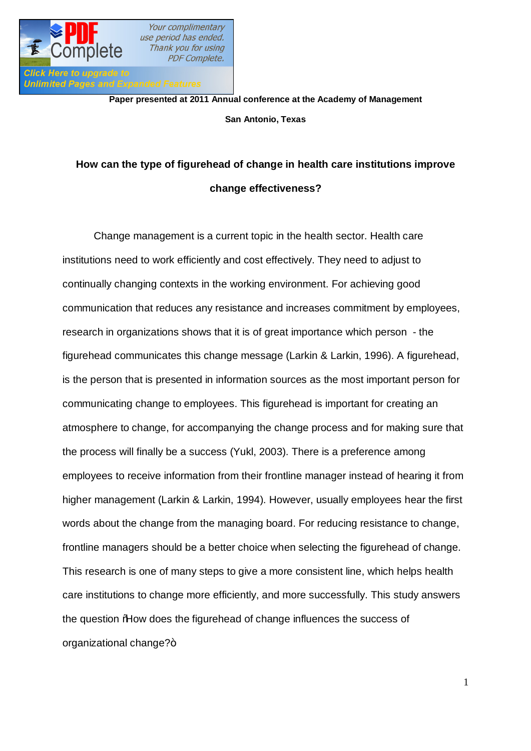

**Paper presented at 2011 Annual conference at the Academy of Management San Antonio, Texas**

# **How can the type of figurehead of change in health care institutions improve change effectiveness?**

Change management is a current topic in the health sector. Health care institutions need to work efficiently and cost effectively. They need to adjust to continually changing contexts in the working environment. For achieving good communication that reduces any resistance and increases commitment by employees, research in organizations shows that it is of great importance which person - the figurehead communicates this change message (Larkin & Larkin, 1996). A figurehead, is the person that is presented in information sources as the most important person for communicating change to employees. This figurehead is important for creating an atmosphere to change, for accompanying the change process and for making sure that the process will finally be a success (Yukl, 2003). There is a preference among employees to receive information from their frontline manager instead of hearing it from higher management (Larkin & Larkin, 1994). However, usually employees hear the first words about the change from the managing board. For reducing resistance to change, frontline managers should be a better choice when selecting the figurehead of change. This research is one of many steps to give a more consistent line, which helps health care institutions to change more efficiently, and more successfully. This study answers the question % low does the figurehead of change influences the success of organizational change?+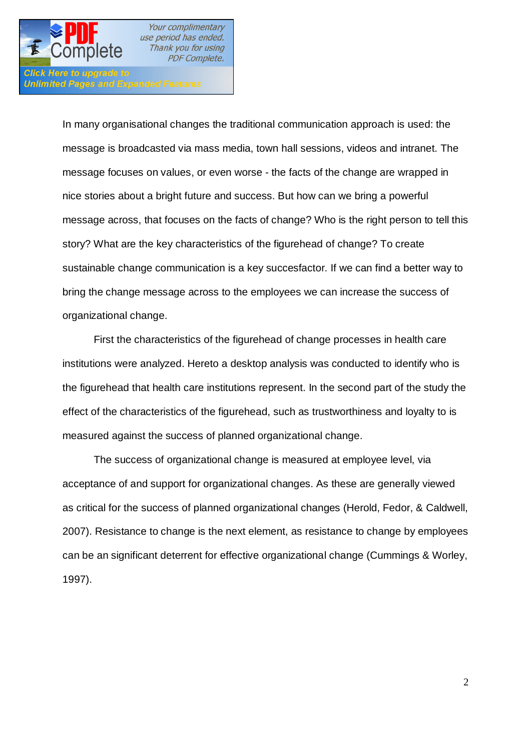

In many organisational changes the traditional communication approach is used: the message is broadcasted via mass media, town hall sessions, videos and intranet. The message focuses on values, or even worse - the facts of the change are wrapped in nice stories about a bright future and success. But how can we bring a powerful message across, that focuses on the facts of change? Who is the right person to tell this story? What are the key characteristics of the figurehead of change? To create sustainable change communication is a key succesfactor. If we can find a better way to bring the change message across to the employees we can increase the success of organizational change.

First the characteristics of the figurehead of change processes in health care institutions were analyzed. Hereto a desktop analysis was conducted to identify who is the figurehead that health care institutions represent. In the second part of the study the effect of the characteristics of the figurehead, such as trustworthiness and loyalty to is measured against the success of planned organizational change.

The success of organizational change is measured at employee level, via acceptance of and support for organizational changes. As these are generally viewed as critical for the success of planned organizational changes (Herold, Fedor, & Caldwell, 2007). Resistance to change is the next element, as resistance to change by employees can be an significant deterrent for effective organizational change (Cummings & Worley, 1997).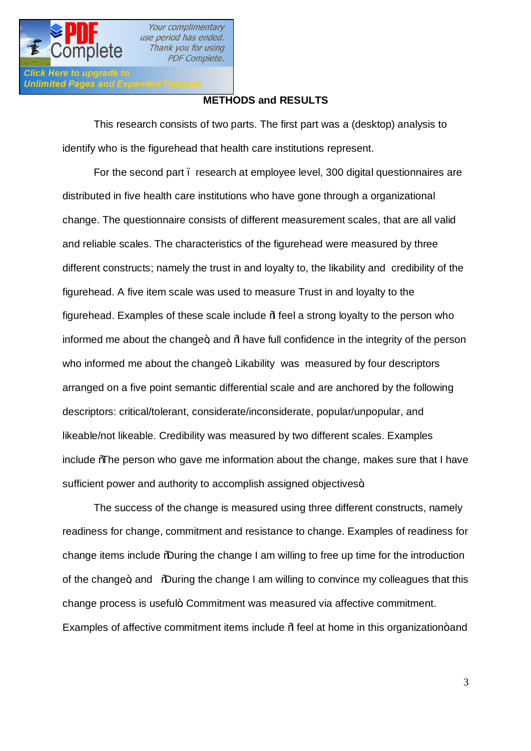

## **METHODS and RESULTS**

This research consists of two parts. The first part was a (desktop) analysis to identify who is the figurehead that health care institutions represent.

For the second part . research at employee level, 300 digital questionnaires are distributed in five health care institutions who have gone through a organizational change. The questionnaire consists of different measurement scales, that are all valid and reliable scales. The characteristics of the figurehead were measured by three different constructs; namely the trust in and loyalty to, the likability and credibility of the figurehead. A five item scale was used to measure Trust in and loyalty to the figurehead. Examples of these scale include % feel a strong loyalty to the person who informed me about the change+ and % have full confidence in the integrity of the person who informed me about the change+. Likability was measured by four descriptors arranged on a five point semantic differential scale and are anchored by the following descriptors: critical/tolerant, considerate/inconsiderate, popular/unpopular, and likeable/not likeable. Credibility was measured by two different scales. Examples include % ahe person who gave me information about the change, makes sure that I have sufficient power and authority to accomplish assigned objectives+.

The success of the change is measured using three different constructs, namely readiness for change, commitment and resistance to change. Examples of readiness for change items include "During the change I am willing to free up time for the introduction of the change +, and %During the change I am willing to convince my colleagues that this change process is useful<sup>+</sup>. Commitment was measured via affective commitment. Examples of affective commitment items include % feel at home in this organization+and

3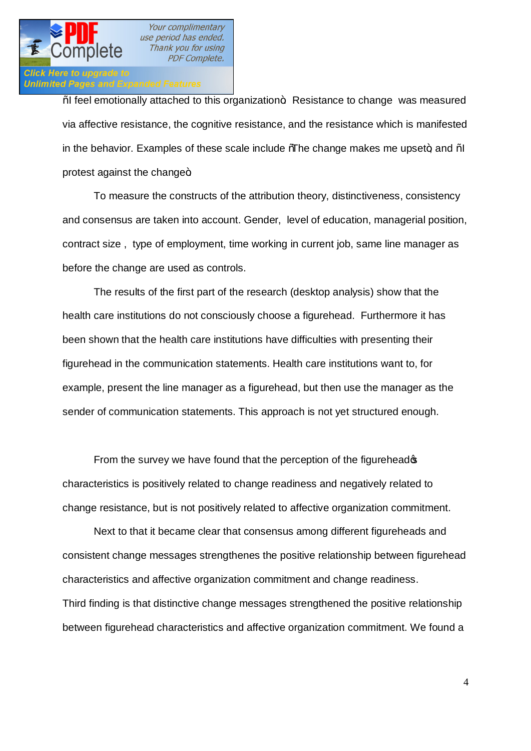

Your complimentary use period has ended. Thank you for using **PDF Complete.** 

% feel emotionally attached to this organization+. Resistance to change was measured via affective resistance, the cognitive resistance, and the resistance which is manifested in the behavior. Examples of these scale include  $%$  The change makes me upset $+$ , and  $%$ protest against the change+.

To measure the constructs of the attribution theory, distinctiveness, consistency and consensus are taken into account. Gender, level of education, managerial position, contract size , type of employment, time working in current job, same line manager as before the change are used as controls.

The results of the first part of the research (desktop analysis) show that the health care institutions do not consciously choose a figurehead. Furthermore it has been shown that the health care institutions have difficulties with presenting their figurehead in the communication statements. Health care institutions want to, for example, present the line manager as a figurehead, but then use the manager as the sender of communication statements. This approach is not yet structured enough.

From the survey we have found that the perception of the figurehead  $\phi$ characteristics is positively related to change readiness and negatively related to change resistance, but is not positively related to affective organization commitment.

Next to that it became clear that consensus among different figureheads and consistent change messages strengthenes the positive relationship between figurehead characteristics and affective organization commitment and change readiness. Third finding is that distinctive change messages strengthened the positive relationship between figurehead characteristics and affective organization commitment. We found a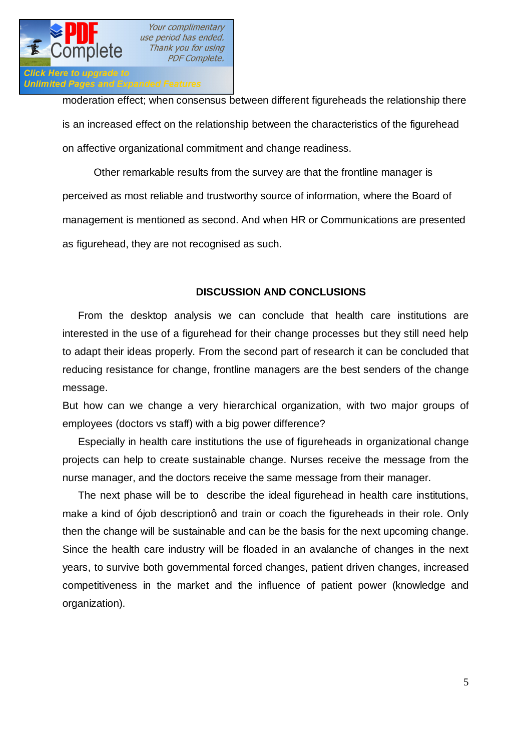

moderation effect; when consensus between different figureheads the relationship there is an increased effect on the relationship between the characteristics of the figurehead on affective organizational commitment and change readiness.

Other remarkable results from the survey are that the frontline manager is perceived as most reliable and trustworthy source of information, where the Board of management is mentioned as second. And when HR or Communications are presented as figurehead, they are not recognised as such.

### **DISCUSSION AND CONCLUSIONS**

From the desktop analysis we can conclude that health care institutions are interested in the use of a figurehead for their change processes but they still need help to adapt their ideas properly. From the second part of research it can be concluded that reducing resistance for change, frontline managers are the best senders of the change message.

But how can we change a very hierarchical organization, with two major groups of employees (doctors vs staff) with a big power difference?

Especially in health care institutions the use of figureheads in organizational change projects can help to create sustainable change. Nurses receive the message from the nurse manager, and the doctors receive the same message from their manager.

The next phase will be to describe the ideal figurehead in health care institutions, make a kind of  $\pm$ job descriptiong and train or coach the figureheads in their role. Only then the change will be sustainable and can be the basis for the next upcoming change. Since the health care industry will be floaded in an avalanche of changes in the next years, to survive both governmental forced changes, patient driven changes, increased competitiveness in the market and the influence of patient power (knowledge and organization).